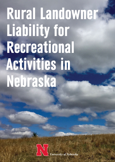# **Rural Landowner Liability for** Recreational Activities in **Nebraska**



University of Nebraska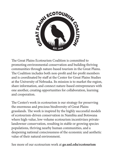

The Great Plains Ecotourism Coalition is committed to promoting environmental conservation and building thriving communities through nature-based tourism in the Great Plains. The Coalition includes both non-profit and for-profit members and is coordinated by staff at the Center for Great Plains Studies at the University of Nebraska. Its mission is to market the region, share information, and connect nature-based entrepreneurs with one another, creating opportunities for collaboration, learning and cooperation.

The Center's work in ecotourism is our strategy for preserving the enormous and precious biodiversity of Great Plains grasslands. The work is inspired by the highly successful models of ecotourism-driven conservation in Namibia and Botswana where high-value, low-volume ecotourism incentivizes privatelandowner conservation, resulting in stable or growing species populations, thriving nearby human communities, and a deepening national consciousness of the economic and aesthetic value of their natural environment.

See more of our ecotourism work at **go.unl.edu/ecotourism**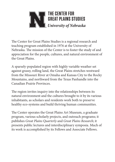

The Center for Great Plains Studies is a regional research and teaching program established in 1976 at the University of Nebraska. The mission of the Center is to foster the study of and appreciation for the people, cultures, and natural environment of the Great Plains.

A sparsely-populated region with highly variable weather set against grassy, rolling land, the Great Plains stretches westward from the Missouri River at Omaha and Kansas City to the Rocky Mountains, and northward from the Texas Panhandle into the Canadian Prairie Provinces.

The region invites inquiry into the relationships between its natural environment and the cultures brought to it by its various inhabitants, as scholars and residents work both to preserve healthy eco-systems and build thriving human communities.

The Center operates the Great Plains Art Museum, a graduate program, various scholarly projects, and outreach programs; it publishes *Great Plains Quarterly* and *Great Plains Research*; it presents public lectures and interdisciplinary symposia. Much of its work is accomplished by its Fellows and Associate Fellows.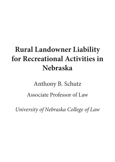## **Rural Landowner Liability for Recreational Activities in Nebraska**

# Anthony B. Schutz Associate Professor of Law

*University of Nebraska College of Law*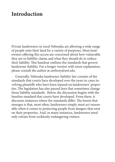## **Introduction**

Private landowners in rural Nebraska are allowing a wide range of people onto their land for a variety of purposes. Most landowners offering this access are concerned about how vulnerable they are to liability claims and what they should do to reduce their liability. This handout outlines the standards that govern landowner liability. For a longer version with more explanation, please consult the author at *anthony@unl.edu*.

Generally, Nebraska landowner-liability law consists of the standards that courts have developed over the years in cases involving plaintiffs who have been injured on landowners' properties. The legislature has also passed laws that sometimes change those liability standards. Below, the discussion begins with the baseline standard that courts have developed. From there, it discusses instances where the standards differ. The lesson that emerges is that, most often, landowners simply must act reasonably when it comes to protecting people from dangers that exist on their properties. And, in many instances, landowners need only refrain from recklessly endangering visitors.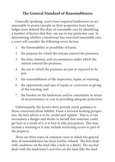#### **The General Standard of Reasonableness**

Generally speaking, courts have required landowners to act reasonably to protect people on their properties from harm. Judges have defined this duty of reasonable care by identifying a number of factors that they can use in any particular case. In determining whether a landowner has exercised reasonable care, a court will consider the following seven factors:

- 1. the foreseeability or possibility of harm;
- 2. the purpose for which the entrant entered the premises;
- 3. the time, manner, and circumstances under which the entrant entered the premises;
- 4. the use to which the premises are put or expected to be put;
- 5. the reasonableness of the inspection, repair, or warning;
- 6. the opportunity and ease of repair or correction or giving of the warning; and
- 7. the burden on the landowner and/or community in terms of inconvenience or cost in providing adequate protection.

Unfortunately, the factors don't provide much guidance to those concerned about liability. From a forward-looking perspective, the best advice is to be *careful and vigilant*. That is, if one encounters a danger and thinks to herself that someone could get hurt as a result of it, it is best to take precautions. This may include a warning or it may include restricting access to part of the property.

There are three types of common cases in which the general duty of reasonableness has been further refined. The first deals with *conditions* on the land (like a hole or a ditch). The second deals with the landowner's *activities* on the land (like the land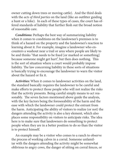owner cutting down trees or moving cattle). And the third deals with the *acts of third parties* on the land (like an outfitter guiding a hunt or a hike). In each of these types of cases, the court has offered standards of liability that further flesh out the broad notion of reasonable care.

*Conditions:* Perhaps the best way of summarizing liability when it comes to conditions on the landowner's premises is to think of a hazard on the property and the landowner's reaction to learning about it. For example, imagine a landowner who encounters a washout near a trail or area where people are likely to be and thinks "that needs to be fixed [or marked or something] because someone might get hurt", but then does nothing. This is the sort of situation where a court would probably impose liability. The law concerning liability in these sorts of situations is basically trying to encourage the landowner to warn the visitor about the hazard or fix it.

*Activities:* When it comes to landowner activities on the land, the standard basically requires the landowner to be careful and make efforts to protect those people who will not realize the risks that the activity presents. Being careful simply means to act reasonably. The seven factors mentioned above guide the analysis, with the key factors being the foreseeability of the harm and the ease with which the landowner could protect the entrant from the harm. Anticipating the ability of visitors to realize (or not) the dangers attending the activity is also a key element, which also places some responsibility on visitors to anticipate risks. The idea here is to make sure that landowners do something to protect people when they are in a better position to do so than the visitor is to protect himself.

An example may be a visitor who comes to a ranch to observe the process of working calves in a corral. Someone unfamiliar with the dangers attending the activity might be somewhat oblivious to angry cows, the danger of sitting on corral fences, or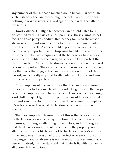any number of things that a rancher would be familiar with. In such instances, the landowner might be held liable, if she does nothing to warn visitors or guard against the harms that attend the setting.

*Third Parties:* Finally, a landowner can be held liable for injuries caused by third parties on his premises. These claims do not focus on third party's conduct. Rather they focus on the reasonableness of the landowner's efforts to protect the injured party from the third party. As one should expect, foreseeability becomes a very important factor. Imposing liability on a landowner for someone else's acts requires that the landowner have at least some responsibility for the harm, an opportunity to protect the plaintiff, or both. What the landowner knew and when he knew it becomes important. The existence of similar incidents in the past, or other facts that suggest the landowner was on notice of the hazard, are generally required to attribute liability to a landowner for the acts of third parties.

An example would be an outfitter that the landowner knows drives tour paths too quickly while conducting tours on the property. If the employee were to tip the vehicle over while traversing a side hill too quickly, the ensuing inquiry would focus on what the landowner did to protect the injured party from the employee's actions, as well as what the landowner knew and when he knew it.

The most important lesson of all of this is that to avoid liability the landowner needs to pay attention to the condition of his premises, the dangers attending his activities, and the dangers that third parties may present to people on the property. An attentive landowner likely will not be liable for a visitor's injuries, if the landowner makes an effort to protect or warn visitors of the dangers. Reasonableness is not, in most instances, much of a burden. Indeed, it is the standard that controls liability for nearly all of our daily activities.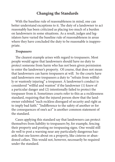#### **Changing the Standards**

With the baseline rule of reasonableness in mind, one can better understand exceptions to it. The duty of a landowner to act reasonably has been criticized as placing too much of a burden on landowners in some situations. As a result, judges and legislators have varied the baseline rule of reasonableness in areas where they have concluded the duty to be reasonable is inappropriate.

#### *Trespassers*

The clearest example arises with regard to trespassers. Most people would agree that landowners should have no duty to protect someone from harm who has not been given permission to enter the landowner's property. Of course, that does not mean that landowners can harm trespassers at will. So the courts have said landowners owe trespassers a duty to "refrain from willfully or wantonly injuring" a trespasser. A landowner's conduct is considered "willful and wanton" if the landowner (1) knew of a particular danger and (2) intentionally failed to protect the trespasser from it. Sometimes courts refer to this as a recklessness standard, requiring that the injured person show that the landowner exhibited "such reckless disregard of security and right as to imply bad faith." "Indifference to the safety of another or for the consequences of one's act" is another common statement of the standard.

Cases applying this standard say that landowners can protect themselves from liability to trespassers by, for example, fencing their property and posting no trespassing signs. One would still do well to post a warning near any particularly dangerous hazards that one knows about on a property, like cisterns or abandoned cellars. This would not, however, necessarily be required under the standard.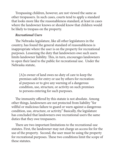Trespassing children, however, are not viewed the same as other trespassers. In such cases, courts tend to apply a standard that looks more like the reasonableness standard, at least in cases where the landowner knows or should know that children would be likely to trespass on the property.

#### *Recreational Users*

The Nebraska legislature, like all other legislatures in the country, has found the general standard of reasonableness is inappropriate where the user is on the property for recreational purposes. Lessening the duty that landowners owe such users limits landowner liability. This, in turn, encourages landowners to open their land to the public for recreational use. Under the Nebraska statute,

[A]n owner of land owes no duty of care to keep the premises safe for entry or use by others for recreational purposes or to give any warning of a dangerous condition, use, structure, or activity on such premises to persons entering for such purposes.

The immunity offered by this statute is not absolute. Among other things, landowners are not protected from liability "for willful or malicious failure to guard or warn against a dangerous condition, use, structure, or activity." Basically, the legislature has concluded that landowners owe recreational users the same duties that they owe trespassers.

There are two important limitations to the recreational-use statutes. First, the landowner may not charge an access fee for the use of the property. Second, the user must be using the property for recreational purposes. These two conditions limit the scope of these statutes.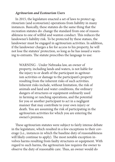#### *Agritourism and Ecotourism Users*

In 2015, the legislature enacted a set of laws to protect agritourism (and ecotourism) operations from liability in many instances. Basically, these statutes do the same thing that the recreation statutes do: change the standard from one of reasonableness to one of willful and wanton conduct. This reduces the landowner's liability risk. To be protected by these statues, the landowner must be engaged in agritourism activities. In addition, if the landowner charges a fee for access to his property, he will not lose the statutes' protection, so long as he has issued a warning to entrants. The statute prescribes the language to use:

WARNING - Under Nebraska law, an owner of property, including lands and waters, is not liable for the injury to or death of the participant in agritourism activities or damage to the participant's property resulting from the inherent risks of such activities. Inherent risks include, without limitation, the risk of animals and land and water conditions, the ordinary dangers of structures or equipment ordinarily used in farming or ranching operations, and the potential for you or another participant to act in a negligent manner that may contribute to your own injury or death. You are assuming the risk of participating in the agritourism activities for which you are entering the owner's premises.

These agritourism statutes were subject to fairly intense debate in the legislature, which resulted in a few exceptions to their coverage (i.e., instances in which the baseline duty of reasonableness will likely continue to apply). The most notable exception involves harms resulting from faulty structures or equipment. With regard to such harms, the agritourism law requires the owner to observe the duty of reasonable care. Thus, an owner would do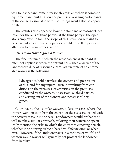well to inspect and remain reasonably vigilant when it comes to equipment and buildings on her premises. Warning participants of the dangers associated with such things would also be appropriate.

The statutes also appear to leave the standard of reasonableness intact for the acts of third parties, if the third party is the operator's employee. Again, the scope of this provision remains to be seen, but an agritourism operator would do well to pay close attention to his employees' actions.

#### *Users Who Have Signed a Waiver*

The final instance in which the reasonableness standard is often not applied is when the entrant has signed a waiver of the landowner's duty of reasonable care. An example of an enforceable waiver is the following:

I do agree to hold harmless the owners and possessors of this land for any injury I sustain resulting from conditions on the premises, or activities on the premises conducted by the owners, possessors, or third parties, and arising out of the owners' and possessors' negligence.

Court have upheld similar waivers, at least in cases where the waivers went on to inform the entrant of the risks associated with the activity at issue in the case. Landowners would probably do well to take a similar approach, tailoring their waivers to specifically mention the risks to which the entrant is exposing herself, whether it be hunting, vehicle-based wildlife viewing, or whatever. However, if the landowner acts in a reckless or willful and wanton way, a wavier will generally not protect the landowner from liability.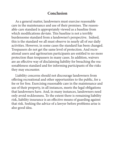#### **Conclusion**

As a general matter, landowners must exercise reasonable care in the maintenance and use of their premises. The reasonable-care standard is appropriately viewed as a baseline from which modifications deviate. This baseline is not a terribly burdensome standard from a landowner's perspective. Indeed, this is the standard we all must observe in nearly all of our daily activities. However, in some cases the standard has been changed. Trespassers do not get the same level of protection. And recreational users and agritourism participants are entitled to no more protection than trespassers in many cases. In addition, waivers are an effective way of disclaiming liability for breaching the reasonableness standard and for informing participants of the risks they may encounter.

Liability concerns should not discourage landowners from offering recreational and other opportunities to the public, for a fee or for free. Exercising reasonable care in the maintenance and use of their property, in all instances, meets the legal obligations that landowners have. And, in many instances, landowners need only avoid recklessness. To the extent there is remaining liability risk, liability insurance is an effective means of guarding against that risk. Seeking the advice of a lawyer before problems arise is also good idea.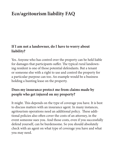### **Eco/agritourism liability FAQ**

#### **If I am not a landowner, do I have to worry about liability?**

Yes. Anyone who has control over the property can be held liable for damages that participants suffer. The typical rural landowning resident is one of those potential defendants. But a tenant or someone else with a right to use and control the property for a particular purpose can too. An example would be a business holding a hunting lease on the property.

#### **Does my insurance protect me from claims made by people who get injured on my property?**

It might. This depends on the type of coverage you have. It is best to discuss matters with an insurance agent. In many instances, agritourism operations need an additional policy. These additional policies also often cover the costs of an attorney, in the event someone sues you. And those costs, even if you successfully defend yourself, can be burdensome. So you should absolutely check with an agent on what type of coverage you have and what you may need.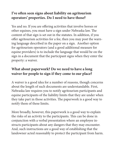#### **I've often seen signs about liability on agritourism operators' properties. Do I need to have those?**

Yes and no. If you are offering activities that involve horses or other equines, you must have a sign under Nebraska law. The content of that sign is set out in the statutes. In addition, if you offer agritourism activities for a fee, then you may post the warning language described in the paper on a sign. Another option for agritourism operators (and a good additional measure for equine providers) is to include the language that would be on the sign in a document that the participant signs when they enter the property: a waiver.

#### **What about paperwork? Do we need to have a long waiver for people to sign if they come to our place?**

A waiver is a good idea for a number of reasons, though concerns about the length of such documents are understandable. First, Nebraska law requires you to notify agritourism participants and equine participants of the liability limits that they are under when they take part in those activities. The paperwork is a good way to notify them of these limits.

More broadly, however, this paperwork is a good way to explain the risks of an activity to the participants. This can be done in conjunction with a verbal presentation where an employee instructs participants about any dangers that they may encounter. And, such instructions are a good way of establishing that the landowner acted reasonably to protect the participant from harm.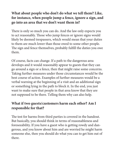#### **What about people who don't do what we tell them? Like, for instance, when people jump a fence, ignore a sign, and go into an area that we don't want them in?**

There is only so much you can do. And the law only expects you to act reasonably. Those who jump fences or ignore signs would likely be deemed trespassers, which would mean that your duties to them are much lower than those owed to some other people. The sign and fence themselves, probably fulfill the duties you owe them.

Of course, facts can change. If a path to the dangerous area develops and it would reasonably appear to guests that they can go around a sign or a fence, then that might raise some concerns. Taking further measures under those circumstances would be the best course of action. Examples of further measures would be a verbal warning at the beginning of a visit and an additional sign or something lying in the path to block it. In the end, you just want to make sure that people in that area know that they are not supposed to be there. Telling them why can also help.

#### **What if two guests/customers harm each other? Am I responsible for that?**

The test for harms from third parties is covered in the handout. But basically, you should think in terms of reasonableness and foreseeability. If you have a guest who is getting rowdy and dangerous, and you know about him and are worried he might harm someone else, then you should do what you can to get him out of there.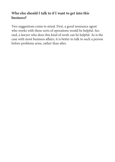#### **Who else should I talk to if I want to get into this business?**

Two suggestions come to mind. First, a good insurance agent who works with these sorts of operations would be helpful. Second, a lawyer who does this kind of work can be helpful. As is the case with most business affairs, it is better to talk to such a person before problems arise, rather than after.